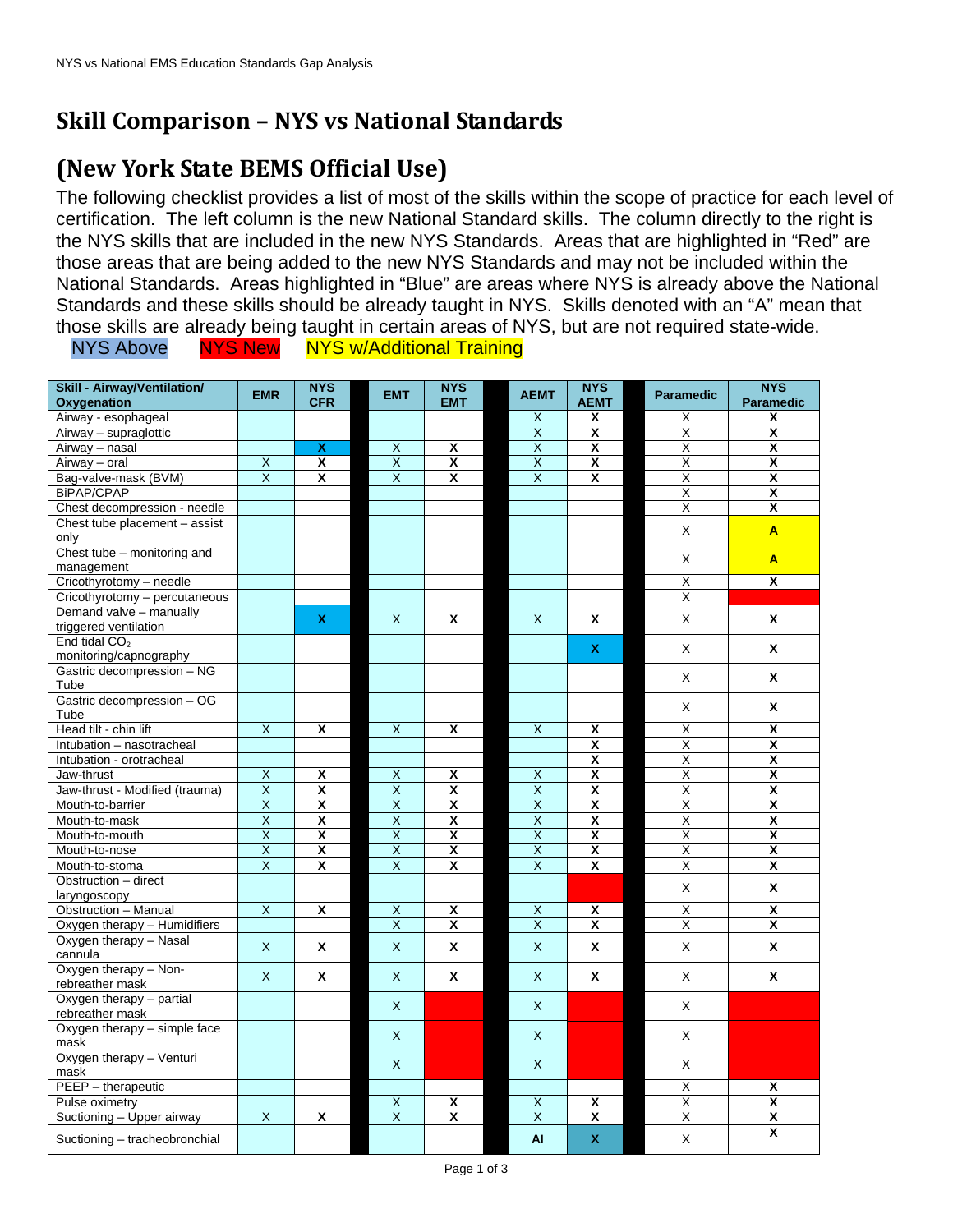## **Skill Comparison – NYS vs National Standards**

## **(New York State BEMS Official Use)**

The following checklist provides a list of most of the skills within the scope of practice for each level of certification. The left column is the new National Standard skills. The column directly to the right is the NYS skills that are included in the new NYS Standards. Areas that are highlighted in "Red" are those areas that are being added to the new NYS Standards and may not be included within the National Standards. Areas highlighted in "Blue" are areas where NYS is already above the National Standards and these skills should be already taught in NYS. Skills denoted with an "A" mean that those skills are already being taught in certain areas of NYS, but are not required state-wide.

NYS Above NYS New NYS w/Additional Training

| <b>Skill - Airway/Ventilation/</b> | <b>EMR</b>              | <b>NYS</b>                | <b>EMT</b>              | <b>NYS</b>              | <b>AEMT</b>             | <b>NYS</b>              | <b>Paramedic</b>        | <b>NYS</b>              |
|------------------------------------|-------------------------|---------------------------|-------------------------|-------------------------|-------------------------|-------------------------|-------------------------|-------------------------|
| Oxygenation                        |                         | <b>CFR</b>                |                         | <b>EMT</b>              |                         | <b>AEMT</b>             |                         | <b>Paramedic</b>        |
| Airway - esophageal                |                         |                           |                         |                         | X                       | X                       | X                       | X                       |
| Airway - supraglottic              |                         |                           |                         |                         | X                       | $\overline{\mathbf{x}}$ | X                       | $\overline{\mathbf{x}}$ |
| Airway - nasal                     |                         | $\boldsymbol{\mathsf{x}}$ | X                       | X                       | $\times$                | $\overline{\mathbf{x}}$ | X                       | $\overline{\mathbf{x}}$ |
| Airway - oral                      | X                       | $\overline{\mathbf{x}}$   | $\overline{\mathsf{x}}$ | $\overline{\mathbf{x}}$ | $\overline{\mathsf{x}}$ | $\overline{\mathbf{x}}$ | X                       | X                       |
| Bag-valve-mask (BVM)               | $\mathsf{x}$            | X                         | X                       | X                       | $\overline{\mathsf{x}}$ | X                       | X                       | $\overline{\mathbf{x}}$ |
| <b>BiPAP/CPAP</b>                  |                         |                           |                         |                         |                         |                         | X                       | X                       |
| Chest decompression - needle       |                         |                           |                         |                         |                         |                         | X                       | X                       |
| Chest tube placement - assist      |                         |                           |                         |                         |                         |                         |                         |                         |
| only                               |                         |                           |                         |                         |                         |                         | X                       | A                       |
| Chest tube - monitoring and        |                         |                           |                         |                         |                         |                         |                         |                         |
| management                         |                         |                           |                         |                         |                         |                         | X                       | A                       |
| Cricothyrotomy - needle            |                         |                           |                         |                         |                         |                         | X                       | X                       |
| Cricothyrotomy - percutaneous      |                         |                           |                         |                         |                         |                         | X                       |                         |
| Demand valve - manually            |                         |                           |                         |                         |                         |                         |                         |                         |
| triggered ventilation              |                         | $\mathbf{x}$              | $\mathsf{x}$            | X                       | $\mathsf{X}$            | X                       | X                       | X                       |
| End tidal CO <sub>2</sub>          |                         |                           |                         |                         |                         |                         |                         |                         |
| monitoring/capnography             |                         |                           |                         |                         |                         | $\mathbf{x}$            | X                       | X                       |
| Gastric decompression - NG         |                         |                           |                         |                         |                         |                         |                         |                         |
| Tube                               |                         |                           |                         |                         |                         |                         | X                       | X                       |
| Gastric decompression - OG         |                         |                           |                         |                         |                         |                         |                         |                         |
| Tube                               |                         |                           |                         |                         |                         |                         | X                       | Χ                       |
| Head tilt - chin lift              | $\overline{X}$          | X                         | X                       | X                       | $\overline{X}$          | X                       | X                       | X                       |
| Intubation - nasotracheal          |                         |                           |                         |                         |                         | X                       | X                       | X                       |
| Intubation - orotracheal           |                         |                           |                         |                         |                         | $\overline{\mathbf{x}}$ | $\overline{\mathsf{x}}$ | $\overline{\mathbf{x}}$ |
| Jaw-thrust                         | X                       | $\overline{\mathbf{x}}$   | $\overline{X}$          | X                       | X                       | X                       | X                       | X                       |
| Jaw-thrust - Modified (trauma)     | $\overline{\mathsf{X}}$ | $\overline{\mathsf{x}}$   | $\overline{\mathsf{x}}$ | $\overline{\mathbf{x}}$ | $\overline{\mathsf{x}}$ | $\overline{\mathbf{x}}$ | $\overline{\mathsf{x}}$ | $\overline{\mathbf{x}}$ |
| Mouth-to-barrier                   | $\overline{\mathsf{X}}$ | $\overline{\mathbf{x}}$   | $\overline{\mathsf{x}}$ | $\overline{\mathsf{x}}$ | X                       | $\overline{\mathbf{x}}$ | Χ                       | X                       |
| Mouth-to-mask                      | $\overline{X}$          | X                         | $\overline{\mathsf{X}}$ | X                       | $\overline{X}$          | X                       | $\overline{\mathsf{x}}$ | X                       |
|                                    | $\overline{X}$          | $\overline{\mathbf{x}}$   | $\overline{\mathsf{x}}$ | X                       | $\overline{\mathsf{x}}$ | $\overline{\mathbf{x}}$ | $\overline{\mathsf{x}}$ | X                       |
| Mouth-to-mouth                     | $\overline{\mathsf{X}}$ | $\overline{\mathbf{x}}$   | $\overline{\mathsf{X}}$ | $\overline{\mathsf{x}}$ | $\overline{\mathsf{X}}$ | $\overline{\mathbf{x}}$ | $\overline{\mathsf{x}}$ | $\overline{\mathbf{x}}$ |
| Mouth-to-nose                      | $\overline{X}$          | $\overline{\mathbf{x}}$   | $\overline{X}$          | $\overline{\mathbf{x}}$ | $\overline{X}$          | $\overline{\mathbf{x}}$ |                         |                         |
| Mouth-to-stoma                     |                         |                           |                         |                         |                         |                         | $\overline{\mathsf{x}}$ | X                       |
| Obstruction - direct               |                         |                           |                         |                         |                         |                         | X                       | X                       |
| laryngoscopy                       |                         |                           |                         |                         |                         |                         |                         |                         |
| Obstruction - Manual               | $\times$                | X                         | $\overline{X}$          | X                       | $\overline{\mathsf{x}}$ | $\overline{\mathbf{x}}$ | X                       | X                       |
| Oxygen therapy - Humidifiers       |                         |                           | $\overline{\mathsf{x}}$ | $\overline{\mathbf{x}}$ | $\overline{\mathsf{x}}$ | $\overline{\mathbf{x}}$ | X                       | X                       |
| Oxygen therapy - Nasal             | $\mathsf X$             | $\mathbf{x}$              | X                       | X                       | $\times$                | X                       | X                       | X                       |
| cannula                            |                         |                           |                         |                         |                         |                         |                         |                         |
| Oxygen therapy - Non-              | X                       | X                         | X                       | X                       | X                       | Χ                       | X                       | X                       |
| rebreather mask                    |                         |                           |                         |                         |                         |                         |                         |                         |
| Oxygen therapy - partial           |                         |                           | $\mathsf{X}$            |                         | X                       |                         | X                       |                         |
| rebreather mask                    |                         |                           |                         |                         |                         |                         |                         |                         |
| Oxygen therapy - simple face       |                         |                           | X                       |                         | X                       |                         | X                       |                         |
| mask                               |                         |                           |                         |                         |                         |                         |                         |                         |
| Oxygen therapy - Venturi           |                         |                           | X                       |                         | $\mathsf{X}$            |                         | X                       |                         |
| mask                               |                         |                           |                         |                         |                         |                         |                         |                         |
| PEEP - therapeutic                 |                         |                           |                         |                         |                         |                         | X                       | X                       |
| Pulse oximetry                     |                         |                           | X                       | X                       | X                       | X                       | X                       | X                       |
| Suctioning - Upper airway          | X                       | X                         | $\overline{X}$          | X                       | X                       | X                       | Χ                       | $\overline{\mathbf{x}}$ |
| Suctioning - tracheobronchial      |                         |                           |                         |                         | AI                      | $\mathbf x$             | $\sf X$                 | X                       |
|                                    |                         |                           |                         |                         |                         |                         |                         |                         |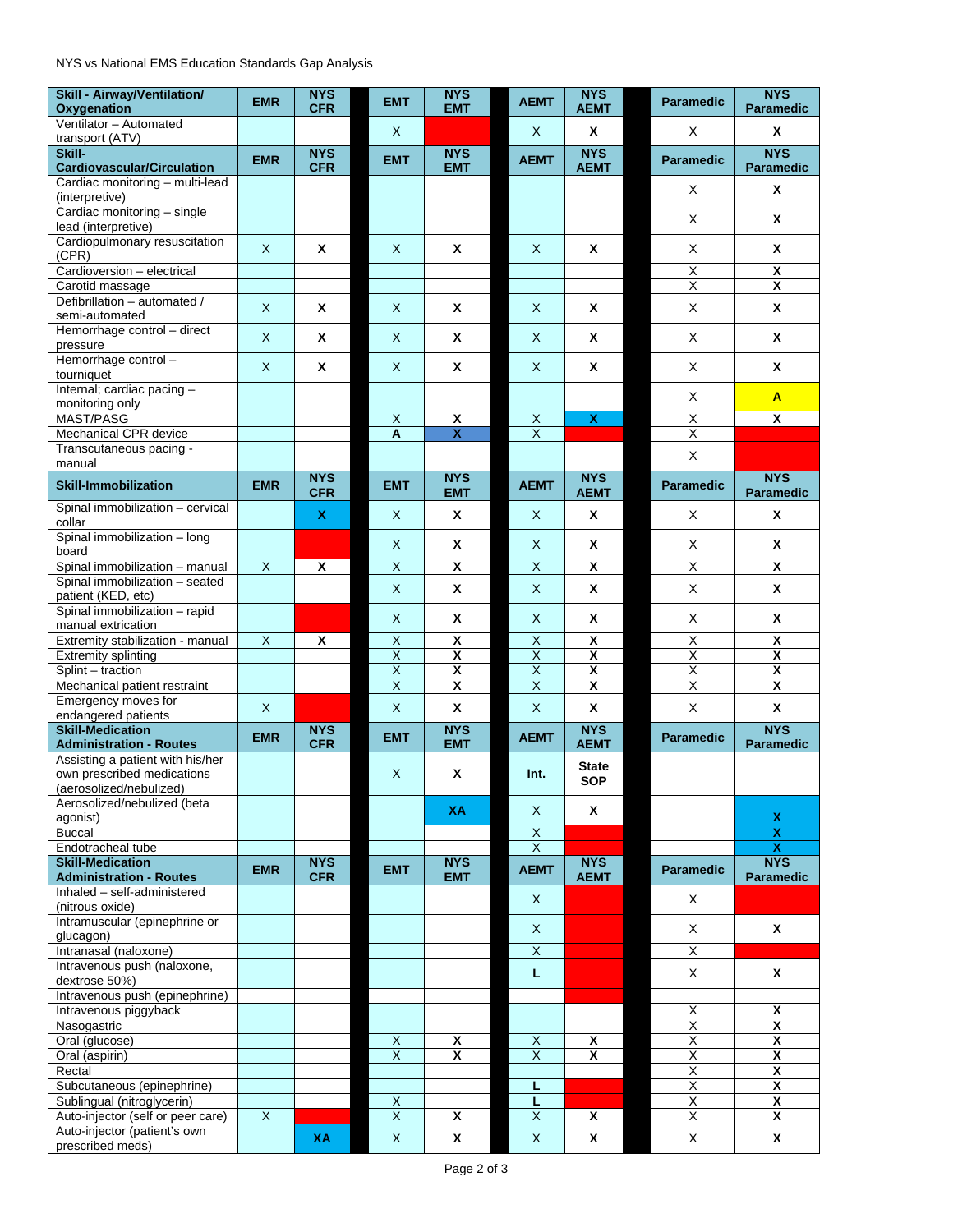NYS vs National EMS Education Standards Gap Analysis

| <b>Skill - Airway/Ventilation/</b><br>Oxygenation               | <b>EMR</b>              | <b>NYS</b><br><b>CFR</b> | <b>EMT</b>                                         | <b>NYS</b><br><b>EMT</b> | <b>AEMT</b>             | <b>NYS</b><br><b>AEMT</b>  | <b>Paramedic</b>             | <b>NYS</b><br><b>Paramedic</b>                     |
|-----------------------------------------------------------------|-------------------------|--------------------------|----------------------------------------------------|--------------------------|-------------------------|----------------------------|------------------------------|----------------------------------------------------|
| Ventilator - Automated                                          |                         |                          |                                                    |                          |                         |                            |                              |                                                    |
| transport (ATV)                                                 |                         |                          | $\mathsf{X}$                                       |                          | X.                      | X                          | X                            | X                                                  |
| Skill-<br><b>Cardiovascular/Circulation</b>                     | <b>EMR</b>              | <b>NYS</b><br><b>CFR</b> | <b>EMT</b>                                         | <b>NYS</b><br><b>EMT</b> | <b>AEMT</b>             | <b>NYS</b><br><b>AEMT</b>  | <b>Paramedic</b>             | <b>NYS</b><br><b>Paramedic</b>                     |
| Cardiac monitoring - multi-lead<br>(interpretive)               |                         |                          |                                                    |                          |                         |                            | X                            | X                                                  |
| Cardiac monitoring - single<br>lead (interpretive)              |                         |                          |                                                    |                          |                         |                            | X                            | X                                                  |
| Cardiopulmonary resuscitation<br>(CPR)                          | $\mathsf{X}$            | X                        | $\mathsf{X}$                                       | X                        | $\mathsf{X}$            | X                          | X                            | X                                                  |
| Cardioversion - electrical                                      |                         |                          |                                                    |                          |                         |                            | $\overline{\mathsf{X}}$      | X                                                  |
| Carotid massage                                                 |                         |                          |                                                    |                          |                         |                            | Χ                            | $\overline{\mathbf{x}}$                            |
| Defibrillation - automated /<br>semi-automated                  | $\mathsf X$             | X                        | X                                                  | X                        | X                       | X                          | X                            | X                                                  |
| Hemorrhage control - direct<br>pressure                         | X                       | X                        | X                                                  | X                        | X.                      | X                          | X                            | X                                                  |
| Hemorrhage control-<br>tourniquet                               | X                       | Χ                        | X                                                  | Χ                        | X                       | Χ                          | X                            | X                                                  |
| Internal; cardiac pacing -<br>monitoring only                   |                         |                          |                                                    |                          |                         |                            | X                            | A                                                  |
| <b>MAST/PASG</b>                                                |                         |                          | $\overline{\mathsf{x}}$                            | $\overline{\mathbf{x}}$  | $\overline{X}$          | $\pmb{\mathsf{x}}$         | Χ                            | $\overline{\mathbf{x}}$                            |
| Mechanical CPR device                                           |                         |                          | A                                                  | $\overline{\mathbf{X}}$  | $\overline{\mathsf{x}}$ |                            | Χ                            |                                                    |
| Transcutaneous pacing -<br>manual                               |                         |                          |                                                    |                          |                         |                            | X                            |                                                    |
| <b>Skill-Immobilization</b>                                     | <b>EMR</b>              | <b>NYS</b><br><b>CFR</b> | <b>EMT</b>                                         | <b>NYS</b><br><b>EMT</b> | <b>AEMT</b>             | <b>NYS</b><br><b>AEMT</b>  | <b>Paramedic</b>             | <b>NYS</b><br><b>Paramedic</b>                     |
| Spinal immobilization - cervical<br>collar                      |                         | x                        | $\mathsf{X}$                                       | x                        | X.                      | X                          | X                            | X                                                  |
| Spinal immobilization - long<br>board                           |                         |                          | X                                                  | X                        | X                       | X                          | X                            | X                                                  |
| Spinal immobilization - manual                                  | $\overline{X}$          | X                        | X                                                  | $\pmb{\mathsf{X}}$       | $\overline{\mathsf{X}}$ | $\pmb{\mathsf{X}}$         | $\overline{\mathsf{x}}$      | χ                                                  |
| Spinal immobilization - seated<br>patient (KED, etc)            |                         |                          | X                                                  | X                        | X                       | X                          | X                            | X                                                  |
| Spinal immobilization - rapid<br>manual extrication             |                         |                          | X                                                  | X                        | X                       | X                          | X                            | X                                                  |
| Extremity stabilization - manual                                | $\overline{\mathsf{x}}$ | Χ                        | $\overline{X}$                                     | $\overline{\mathbf{x}}$  | $\overline{X}$          | $\overline{\mathbf{x}}$    | $\overline{\mathsf{x}}$      | X                                                  |
| <b>Extremity splinting</b>                                      |                         |                          | $\overline{\mathsf{x}}$                            | $\overline{\mathbf{x}}$  | Χ                       | $\overline{\mathbf{x}}$    | Χ                            | $\overline{\mathbf{x}}$                            |
| Splint - traction                                               |                         |                          | $\overline{\mathsf{x}}$                            | $\overline{\mathbf{x}}$  | Χ                       | $\overline{\mathbf{x}}$    | $\overline{\mathsf{x}}$      | $\overline{\mathbf{x}}$                            |
| Mechanical patient restraint<br>Emergency moves for             |                         |                          | $\overline{\mathsf{x}}$                            | $\overline{\mathbf{x}}$  | $\overline{\mathsf{X}}$ | $\overline{\mathbf{X}}$    | $\overline{\mathsf{X}}$      | $\overline{\mathbf{x}}$                            |
| endangered patients                                             | X                       |                          | X                                                  | X                        | X                       | X                          | X                            | X                                                  |
| <b>Skill-Medication</b><br><b>Administration - Routes</b>       | <b>EMR</b>              | <b>NYS</b><br><b>CFR</b> | <b>EMT</b>                                         | <b>NYS</b><br><b>EMT</b> | <b>AEMT</b>             | <b>NYS</b><br><b>AEMT</b>  | <b>Paramedic</b>             | <b>NYS</b><br><b>Paramedic</b>                     |
| Assisting a patient with his/her<br>own prescribed medications  |                         |                          | X                                                  | X                        | Int.                    | <b>State</b><br><b>SOP</b> |                              |                                                    |
| (aerosolized/nebulized)<br>Aerosolized/nebulized (beta          |                         |                          |                                                    | <b>XA</b>                | X                       | X                          |                              |                                                    |
| agonist)<br><b>Buccal</b>                                       |                         |                          |                                                    |                          | $\overline{X}$          |                            |                              | X<br>$\overline{\textsf{x}}$                       |
| Endotracheal tube                                               |                         |                          |                                                    |                          | $\overline{X}$          |                            |                              | $\overline{\mathbf{X}}$                            |
| <b>Skill-Medication</b><br><b>Administration - Routes</b>       | <b>EMR</b>              | <b>NYS</b><br><b>CFR</b> | <b>EMT</b>                                         | <b>NYS</b><br><b>EMT</b> | <b>AEMT</b>             | <b>NYS</b><br><b>AEMT</b>  | Paramedic                    | <b>NYS</b><br>Paramedic                            |
| Inhaled - self-administered<br>(nitrous oxide)                  |                         |                          |                                                    |                          | X                       |                            | X                            |                                                    |
| Intramuscular (epinephrine or<br>glucagon)                      |                         |                          |                                                    |                          | X                       |                            | $\mathsf X$                  | X                                                  |
| Intranasal (naloxone)                                           |                         |                          |                                                    |                          | $\overline{\mathsf{X}}$ |                            | $\overline{\mathsf{x}}$      |                                                    |
| Intravenous push (naloxone,<br>dextrose 50%)                    |                         |                          |                                                    |                          | L.                      |                            | X                            | X                                                  |
| Intravenous push (epinephrine)                                  |                         |                          |                                                    |                          |                         |                            |                              |                                                    |
| Intravenous piggyback                                           |                         |                          |                                                    |                          |                         |                            | X<br>$\overline{X}$          | X<br>$\overline{\mathbf{x}}$                       |
| Nasogastric<br>Oral (glucose)                                   |                         |                          | $\overline{X}$                                     | X                        | $\overline{X}$          | X                          | $\overline{\mathsf{X}}$      | $\overline{\mathbf{X}}$                            |
| Oral (aspirin)                                                  |                         |                          | $\overline{X}$                                     | $\pmb{\mathsf{X}}$       | $\overline{X}$          | X                          | $\overline{X}$               | $\pmb{\mathsf{x}}$                                 |
| Rectal                                                          |                         |                          |                                                    |                          |                         |                            | $\overline{\mathsf{x}}$      | $\overline{\mathbf{x}}$                            |
| Subcutaneous (epinephrine)                                      |                         |                          |                                                    |                          | г                       |                            | $\overline{\mathsf{X}}$<br>Χ | $\overline{\mathbf{x}}$<br>$\overline{\mathbf{X}}$ |
| Sublingual (nitroglycerin)<br>Auto-injector (self or peer care) | $\overline{X}$          |                          | $\overline{\mathsf{x}}$<br>$\overline{\mathsf{X}}$ | X                        | L<br>$\overline{X}$     | Χ                          | χ                            | $\overline{\mathbf{x}}$                            |
| Auto-injector (patient's own                                    |                         |                          |                                                    |                          |                         |                            |                              |                                                    |
| prescribed meds)                                                |                         | XA                       | $\boldsymbol{\mathsf{X}}$                          | X                        | X                       | X                          | X                            | X                                                  |